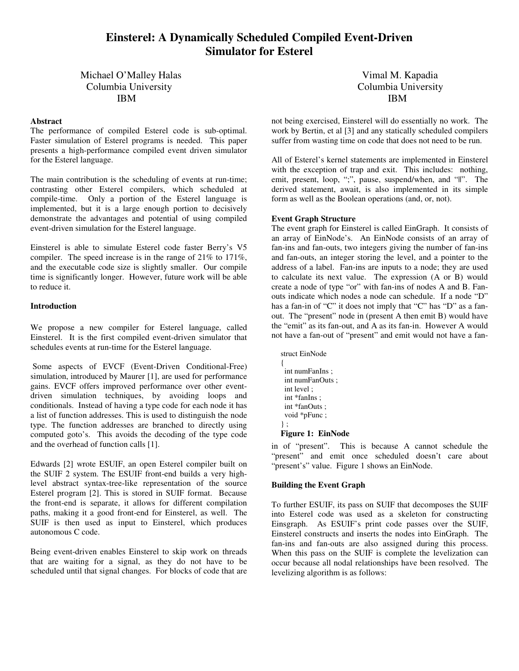# **Einsterel: A Dynamically Scheduled Compiled Event-Driven Simulator for Esterel**

## Michael O'Malley Halas Vimal M. Kapadia Columbia University Columbia University IBM IBM

## **Abstract**

The performance of compiled Esterel code is sub-optimal. Faster simulation of Esterel programs is needed. This paper presents a high-performance compiled event driven simulator for the Esterel language.

The main contribution is the scheduling of events at run-time; contrasting other Esterel compilers, which scheduled at compile-time. Only a portion of the Esterel language is implemented, but it is a large enough portion to decisively demonstrate the advantages and potential of using compiled event-driven simulation for the Esterel language.

Einsterel is able to simulate Esterel code faster Berry's V5 compiler. The speed increase is in the range of 21% to 171%, and the executable code size is slightly smaller. Our compile time is significantly longer. However, future work will be able to reduce it.

## **Introduction**

We propose a new compiler for Esterel language, called Einsterel. It is the first compiled event-driven simulator that schedules events at run-time for the Esterel language.

Some aspects of EVCF (Event-Driven Conditional-Free) simulation, introduced by Maurer [1], are used for performance gains. EVCF offers improved performance over other eventdriven simulation techniques, by avoiding loops and conditionals. Instead of having a type code for each node it has a list of function addresses. This is used to distinguish the node type. The function addresses are branched to directly using computed goto's. This avoids the decoding of the type code and the overhead of function calls [1].

Edwards [2] wrote ESUIF, an open Esterel compiler built on the SUIF 2 system. The ESUIF front-end builds a very highlevel abstract syntax-tree-like representation of the source Esterel program [2]. This is stored in SUIF format. Because the front-end is separate, it allows for different compilation paths, making it a good front-end for Einsterel, as well. The SUIF is then used as input to Einsterel, which produces autonomous C code.

Being event-driven enables Einsterel to skip work on threads that are waiting for a signal, as they do not have to be scheduled until that signal changes. For blocks of code that are

not being exercised, Einsterel will do essentially no work. The work by Bertin, et al [3] and any statically scheduled compilers suffer from wasting time on code that does not need to be run.

All of Esterel's kernel statements are implemented in Einsterel with the exception of trap and exit. This includes: nothing, emit, present, loop, ";", pause, suspend/when, and "||". The derived statement, await, is also implemented in its simple form as well as the Boolean operations (and, or, not).

## **Event Graph Structure**

The event graph for Einsterel is called EinGraph. It consists of an array of EinNode's. An EinNode consists of an array of fan-ins and fan-outs, two integers giving the number of fan-ins and fan-outs, an integer storing the level, and a pointer to the address of a label. Fan-ins are inputs to a node; they are used to calculate its next value. The expression (A or B) would create a node of type "or" with fan-ins of nodes A and B. Fanouts indicate which nodes a node can schedule. If a node "D" has a fan-in of "C" it does not imply that "C" has "D" as a fanout. The "present" node in (present A then emit B) would have the "emit" as its fan-out, and A as its fan-in. However A would not have a fan-out of "present" and emit would not have a fan-

struct EinNode { int numFanIns ; int numFanOuts ; int level ; int \*fanIns ; int \*fanOuts ; void \*pFunc ; } ; **Figure 1: EinNode**

in of "present". This is because A cannot schedule the "present" and emit once scheduled doesn't care about "present's" value. Figure 1 shows an EinNode.

## **Building the Event Graph**

To further ESUIF, its pass on SUIF that decomposes the SUIF into Esterel code was used as a skeleton for constructing Einsgraph. As ESUIF's print code passes over the SUIF, Einsterel constructs and inserts the nodes into EinGraph. The fan-ins and fan-outs are also assigned during this process. When this pass on the SUIF is complete the levelization can occur because all nodal relationships have been resolved. The levelizing algorithm is as follows: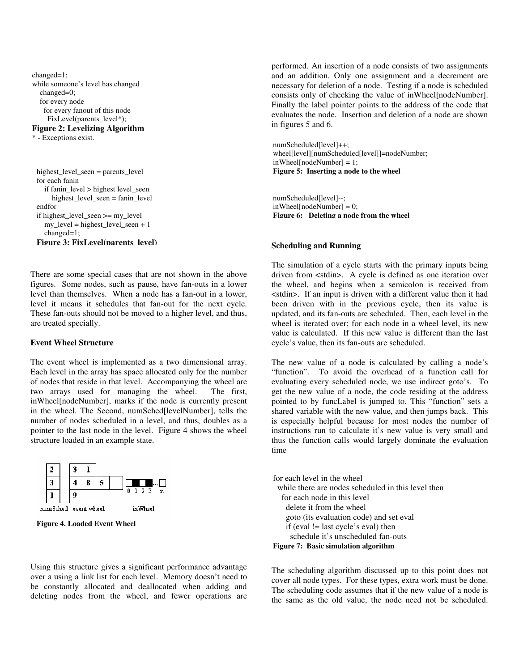```
changed=1;
while someone's level has changed
  changed=0;
  for every node
   for every fanout of this node
    FixLevel(parents_level*);
Figure 2: Levelizing Algorithm
```
\* - Exceptions exist.

highest\_level\_seen = parents\_level for each fanin if fanin\_level > highest level\_seen highest\_level\_seen = fanin\_level endfor if highest\_level\_seen >= my\_level  $my$ <sub>\_level</sub> = highest\_level\_seen + 1 changed=1;

**Figure 3: FixLevel(parents\_level)**

There are some special cases that are not shown in the above figures. Some nodes, such as pause, have fan-outs in a lower level than themselves. When a node has a fan-out in a lower, level it means it schedules that fan-out for the next cycle. These fan-outs should not be moved to a higher level, and thus, are treated specially.

## **Event Wheel Structure**

The event wheel is implemented as a two dimensional array. Each level in the array has space allocated only for the number of nodes that reside in that level. Accompanying the wheel are two arrays used for managing the wheel. The first, inWheel[nodeNumber], marks if the node is currently present in the wheel. The Second, numSched[levelNumber], tells the number of nodes scheduled in a level, and thus, doubles as a pointer to the last node in the level. Figure 4 shows the wheel structure loaded in an example state.



**Figure 4. Loaded Event Wheel**

Using this structure gives a significant performance advantage over a using a link list for each level. Memory doesn't need to be constantly allocated and deallocated when adding and deleting nodes from the wheel, and fewer operations are

performed. An insertion of a node consists of two assignments and an addition. Only one assignment and a decrement are necessary for deletion of a node. Testing if a node is scheduled consists only of checking the value of inWheel[nodeNumber]. Finally the label pointer points to the address of the code that evaluates the node. Insertion and deletion of a node are shown in figures 5 and 6.

numScheduled[level]++; wheel[level][numScheduled[level]]=nodeNumber; inWheel[nodeNumber] = 1; **Figure 5: Inserting a node to the wheel**

numScheduled[level]--;  $inWheel[nodeNumber] = 0;$ **Figure 6: Deleting a node from the wheel**

#### **Scheduling and Running**

The simulation of a cycle starts with the primary inputs being driven from <stdin>. A cycle is defined as one iteration over the wheel, and begins when a semicolon is received from <stdin>. If an input is driven with a different value then it had been driven with in the previous cycle, then its value is updated, and its fan-outs are scheduled. Then, each level in the wheel is iterated over; for each node in a wheel level, its new value is calculated. If this new value is different than the last cycle's value, then its fan-outs are scheduled.

The new value of a node is calculated by calling a node's "function". To avoid the overhead of a function call for evaluating every scheduled node, we use indirect goto's. To get the new value of a node, the code residing at the address pointed to by funcLabel is jumped to. This "function" sets a shared variable with the new value, and then jumps back. This is especially helpful because for most nodes the number of instructions run to calculate it's new value is very small and thus the function calls would largely dominate the evaluation time

for each level in the wheel while there are nodes scheduled in this level then for each node in this level delete it from the wheel goto (its evaluation code) and set eval if (eval  $!=$  last cycle's eval) then schedule it's unscheduled fan-outs **Figure 7: Basic simulation algorithm**

The scheduling algorithm discussed up to this point does not cover all node types. For these types, extra work must be done. The scheduling code assumes that if the new value of a node is the same as the old value, the node need not be scheduled.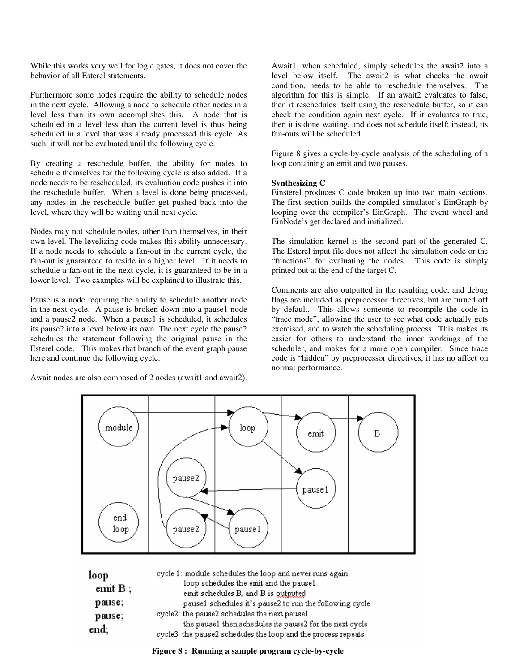While this works very well for logic gates, it does not cover the behavior of all Esterel statements.

Furthermore some nodes require the ability to schedule nodes in the next cycle. Allowing a node to schedule other nodes in a level less than its own accomplishes this. A node that is scheduled in a level less than the current level is thus being scheduled in a level that was already processed this cycle. As such, it will not be evaluated until the following cycle.

By creating a reschedule buffer, the ability for nodes to schedule themselves for the following cycle is also added. If a node needs to be rescheduled, its evaluation code pushes it into the reschedule buffer. When a level is done being processed, any nodes in the reschedule buffer get pushed back into the level, where they will be waiting until next cycle.

Nodes may not schedule nodes, other than themselves, in their own level. The levelizing code makes this ability unnecessary. If a node needs to schedule a fan-out in the current cycle, the fan-out is guaranteed to reside in a higher level. If it needs to schedule a fan-out in the next cycle, it is guaranteed to be in a lower level. Two examples will be explained to illustrate this.

Pause is a node requiring the ability to schedule another node in the next cycle. A pause is broken down into a pause1 node and a pause2 node. When a pause1 is scheduled, it schedules its pause2 into a level below its own. The next cycle the pause2 schedules the statement following the original pause in the Esterel code. This makes that branch of the event graph pause here and continue the following cycle.

Await nodes are also composed of 2 nodes (await1 and await2).

Await1, when scheduled, simply schedules the await2 into a level below itself. The await2 is what checks the await condition, needs to be able to reschedule themselves. The algorithm for this is simple. If an await2 evaluates to false, then it reschedules itself using the reschedule buffer, so it can check the condition again next cycle. If it evaluates to true, then it is done waiting, and does not schedule itself; instead, its fan-outs will be scheduled.

Figure 8 gives a cycle-by-cycle analysis of the scheduling of a loop containing an emit and two pauses.

## **Synthesizing C**

Einsterel produces C code broken up into two main sections. The first section builds the compiled simulator's EinGraph by looping over the compiler's EinGraph. The event wheel and EinNode's get declared and initialized.

The simulation kernel is the second part of the generated C. The Esterel input file does not affect the simulation code or the "functions" for evaluating the nodes. This code is simply printed out at the end of the target C.

Comments are also outputted in the resulting code, and debug flags are included as preprocessor directives, but are turned off by default. This allows someone to recompile the code in "trace mode", allowing the user to see what code actually gets exercised, and to watch the scheduling process. This makes its easier for others to understand the inner workings of the scheduler, and makes for a more open compiler. Since trace code is "hidden" by preprocessor directives, it has no affect on normal performance.



| loop           | cycle 1: module schedules the loop and never runs again.                                                |
|----------------|---------------------------------------------------------------------------------------------------------|
| emit $B$ ;     | loop schedules the emit and the pausel                                                                  |
|                | emit schedules B, and B is gutputed                                                                     |
| pause;         | pausel schedules it's pause2 to run the following cycle<br>cycle2: the pause2 schedules the next pause1 |
| pause;<br>end; | the pause1 then schedules its pause2 for the next cycle                                                 |
|                | cycle3 the pause2 schedules the loop and the process repeats                                            |

**Figure 8 : Running a sample program cycle-by-cycle**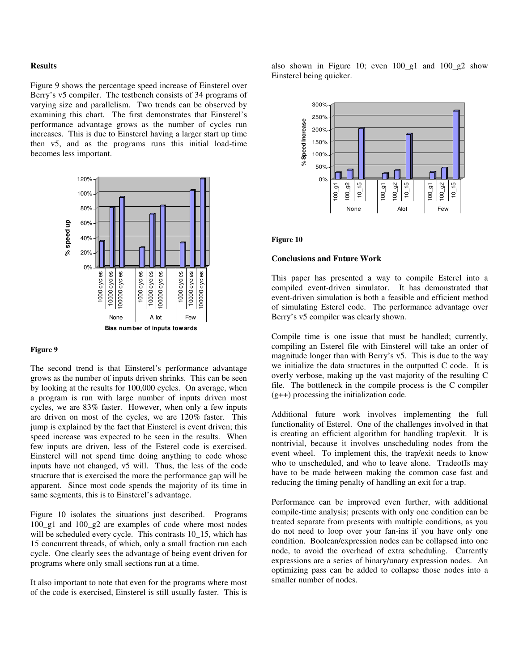## **Results**

Figure 9 shows the percentage speed increase of Einsterel over Berry's v5 compiler. The testbench consists of 34 programs of varying size and parallelism. Two trends can be observed by examining this chart. The first demonstrates that Einsterel's performance advantage grows as the number of cycles run increases. This is due to Einsterel having a larger start up time then v5, and as the programs runs this initial load-time becomes less important.



## **Figure 9**

The second trend is that Einsterel's performance advantage grows as the number of inputs driven shrinks. This can be seen by looking at the results for 100,000 cycles. On average, when a program is run with large number of inputs driven most cycles, we are 83% faster. However, when only a few inputs are driven on most of the cycles, we are 120% faster. This jump is explained by the fact that Einsterel is event driven; this speed increase was expected to be seen in the results. When few inputs are driven, less of the Esterel code is exercised. Einsterel will not spend time doing anything to code whose inputs have not changed, v5 will. Thus, the less of the code structure that is exercised the more the performance gap will be apparent. Since most code spends the majority of its time in same segments, this is to Einsterel's advantage.

Figure 10 isolates the situations just described. Programs 100\_g1 and 100\_g2 are examples of code where most nodes will be scheduled every cycle. This contrasts 10\_15, which has 15 concurrent threads, of which, only a small fraction run each cycle. One clearly sees the advantage of being event driven for programs where only small sections run at a time.

It also important to note that even for the programs where most of the code is exercised, Einsterel is still usually faster. This is also shown in Figure 10; even 100\_g1 and 100\_g2 show Einsterel being quicker.



#### **Figure 10**

### **Conclusions and Future Work**

This paper has presented a way to compile Esterel into a compiled event-driven simulator. It has demonstrated that event-driven simulation is both a feasible and efficient method of simulating Esterel code. The performance advantage over Berry's v5 compiler was clearly shown.

Compile time is one issue that must be handled; currently, compiling an Esterel file with Einsterel will take an order of magnitude longer than with Berry's v5. This is due to the way we initialize the data structures in the outputted C code. It is overly verbose, making up the vast majority of the resulting C file. The bottleneck in the compile process is the C compiler (g++) processing the initialization code.

Additional future work involves implementing the full functionality of Esterel. One of the challenges involved in that is creating an efficient algorithm for handling trap/exit. It is nontrivial, because it involves unscheduling nodes from the event wheel. To implement this, the trap/exit needs to know who to unscheduled, and who to leave alone. Tradeoffs may have to be made between making the common case fast and reducing the timing penalty of handling an exit for a trap.

Performance can be improved even further, with additional compile-time analysis; presents with only one condition can be treated separate from presents with multiple conditions, as you do not need to loop over your fan-ins if you have only one condition. Boolean/expression nodes can be collapsed into one node, to avoid the overhead of extra scheduling. Currently expressions are a series of binary/unary expression nodes. An optimizing pass can be added to collapse those nodes into a smaller number of nodes.